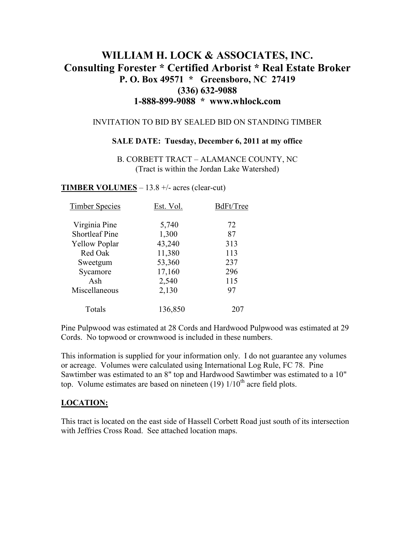# **WILLIAM H. LOCK & ASSOCIATES, INC. Consulting Forester \* Certified Arborist \* Real Estate Broker P. O. Box 49571 \* Greensboro, NC 27419 (336) 632-9088 1-888-899-9088 \* www.whlock.com**

#### INVITATION TO BID BY SEALED BID ON STANDING TIMBER

#### **SALE DATE: Tuesday, December 6, 2011 at my office**

B. CORBETT TRACT – ALAMANCE COUNTY, NC (Tract is within the Jordan Lake Watershed)

#### **TIMBER VOLUMES** – 13.8 +/- acres (clear-cut)

| <b>Timber Species</b> | Est. Vol. | BdFt/Tree |
|-----------------------|-----------|-----------|
| Virginia Pine         | 5,740     | 72        |
| <b>Shortleaf Pine</b> | 1,300     | 87        |
| <b>Yellow Poplar</b>  | 43,240    | 313       |
| Red Oak               | 11,380    | 113       |
| Sweetgum              | 53,360    | 237       |
| Sycamore              | 17,160    | 296       |
| Ash                   | 2,540     | 115       |
| Miscellaneous         | 2,130     | 97        |
| Totals                | 136,850   | 207       |

Pine Pulpwood was estimated at 28 Cords and Hardwood Pulpwood was estimated at 29 Cords. No topwood or crownwood is included in these numbers.

This information is supplied for your information only. I do not guarantee any volumes or acreage. Volumes were calculated using International Log Rule, FC 78. Pine Sawtimber was estimated to an 8" top and Hardwood Sawtimber was estimated to a 10" top. Volume estimates are based on nineteen  $(19)$   $1/10<sup>th</sup>$  acre field plots.

#### **LOCATION:**

This tract is located on the east side of Hassell Corbett Road just south of its intersection with Jeffries Cross Road. See attached location maps.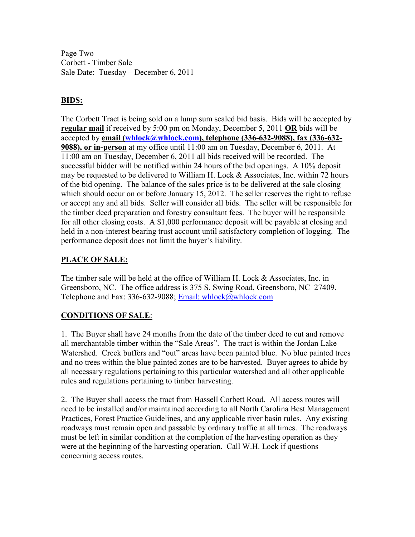Page Two Corbett - Timber Sale Sale Date: Tuesday – December 6, 2011

### **BIDS:**

The Corbett Tract is being sold on a lump sum sealed bid basis. Bids will be accepted by **regular mail** if received by 5:00 pm on Monday, December 5, 2011 **OR** bids will be accepted by **email (whlock@whlock.com), telephone (336-632-9088), fax (336-632- 9088), or in-person** at my office until 11:00 am on Tuesday, December 6, 2011. At 11:00 am on Tuesday, December 6, 2011 all bids received will be recorded. The successful bidder will be notified within 24 hours of the bid openings. A 10% deposit may be requested to be delivered to William H. Lock & Associates, Inc. within 72 hours of the bid opening. The balance of the sales price is to be delivered at the sale closing which should occur on or before January 15, 2012. The seller reserves the right to refuse or accept any and all bids. Seller will consider all bids. The seller will be responsible for the timber deed preparation and forestry consultant fees. The buyer will be responsible for all other closing costs. A \$1,000 performance deposit will be payable at closing and held in a non-interest bearing trust account until satisfactory completion of logging. The performance deposit does not limit the buyer's liability.

## **PLACE OF SALE:**

The timber sale will be held at the office of William H. Lock & Associates, Inc. in Greensboro, NC. The office address is 375 S. Swing Road, Greensboro, NC 27409. Telephone and Fax: 336-632-9088; Email: whlock@whlock.com

### **CONDITIONS OF SALE**:

1. The Buyer shall have 24 months from the date of the timber deed to cut and remove all merchantable timber within the "Sale Areas". The tract is within the Jordan Lake Watershed. Creek buffers and "out" areas have been painted blue. No blue painted trees and no trees within the blue painted zones are to be harvested. Buyer agrees to abide by all necessary regulations pertaining to this particular watershed and all other applicable rules and regulations pertaining to timber harvesting.

2. The Buyer shall access the tract from Hassell Corbett Road. All access routes will need to be installed and/or maintained according to all North Carolina Best Management Practices, Forest Practice Guidelines, and any applicable river basin rules. Any existing roadways must remain open and passable by ordinary traffic at all times. The roadways must be left in similar condition at the completion of the harvesting operation as they were at the beginning of the harvesting operation. Call W.H. Lock if questions concerning access routes.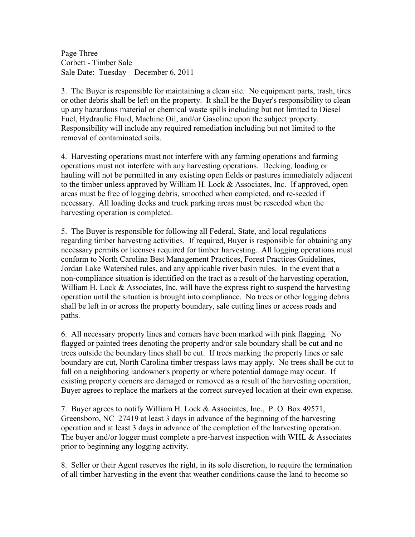Page Three Corbett - Timber Sale Sale Date: Tuesday – December 6, 2011

3. The Buyer is responsible for maintaining a clean site. No equipment parts, trash, tires or other debris shall be left on the property. It shall be the Buyer's responsibility to clean up any hazardous material or chemical waste spills including but not limited to Diesel Fuel, Hydraulic Fluid, Machine Oil, and/or Gasoline upon the subject property. Responsibility will include any required remediation including but not limited to the removal of contaminated soils.

4. Harvesting operations must not interfere with any farming operations and farming operations must not interfere with any harvesting operations. Decking, loading or hauling will not be permitted in any existing open fields or pastures immediately adjacent to the timber unless approved by William H. Lock & Associates, Inc. If approved, open areas must be free of logging debris, smoothed when completed, and re-seeded if necessary. All loading decks and truck parking areas must be reseeded when the harvesting operation is completed.

5. The Buyer is responsible for following all Federal, State, and local regulations regarding timber harvesting activities. If required, Buyer is responsible for obtaining any necessary permits or licenses required for timber harvesting. All logging operations must conform to North Carolina Best Management Practices, Forest Practices Guidelines, Jordan Lake Watershed rules, and any applicable river basin rules. In the event that a non-compliance situation is identified on the tract as a result of the harvesting operation, William H. Lock & Associates, Inc. will have the express right to suspend the harvesting operation until the situation is brought into compliance. No trees or other logging debris shall be left in or across the property boundary, sale cutting lines or access roads and paths.

6. All necessary property lines and corners have been marked with pink flagging. No flagged or painted trees denoting the property and/or sale boundary shall be cut and no trees outside the boundary lines shall be cut. If trees marking the property lines or sale boundary are cut, North Carolina timber trespass laws may apply. No trees shall be cut to fall on a neighboring landowner's property or where potential damage may occur. If existing property corners are damaged or removed as a result of the harvesting operation, Buyer agrees to replace the markers at the correct surveyed location at their own expense.

7. Buyer agrees to notify William H. Lock & Associates, Inc., P. O. Box 49571, Greensboro, NC 27419 at least 3 days in advance of the beginning of the harvesting operation and at least 3 days in advance of the completion of the harvesting operation. The buyer and/or logger must complete a pre-harvest inspection with WHL & Associates prior to beginning any logging activity.

8. Seller or their Agent reserves the right, in its sole discretion, to require the termination of all timber harvesting in the event that weather conditions cause the land to become so